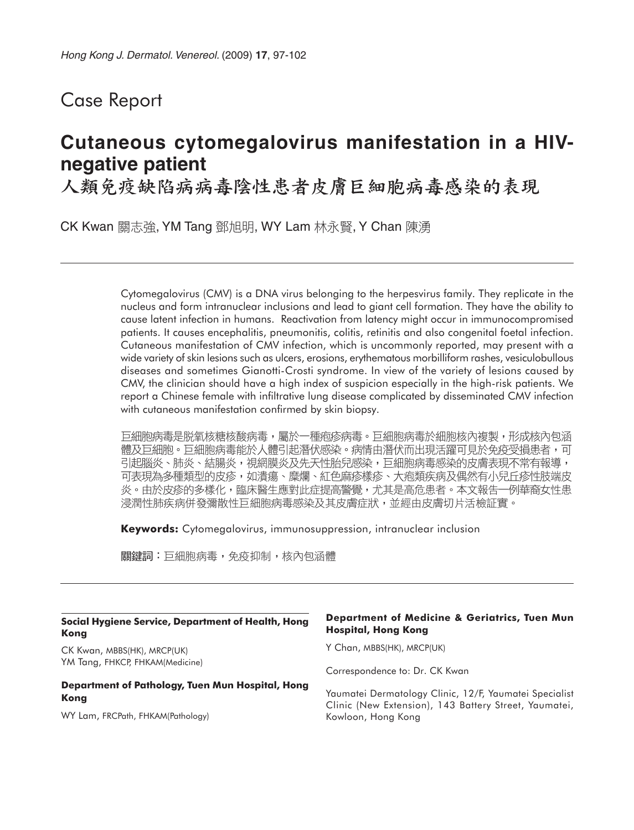## Case Report

# **Cutaneous cytomegalovirus manifestation in a HIVnegative patient**

人類免疫缺陷病病毒陰性患者皮膚巨細胞病毒感染的表現

CK Kwan 關志強, YM Tang 鄧旭明, WY Lam 林永賢, Y Chan 陳湧

Cytomegalovirus (CMV) is a DNA virus belonging to the herpesvirus family. They replicate in the nucleus and form intranuclear inclusions and lead to giant cell formation. They have the ability to cause latent infection in humans. Reactivation from latency might occur in immunocompromised patients. It causes encephalitis, pneumonitis, colitis, retinitis and also congenital foetal infection. Cutaneous manifestation of CMV infection, which is uncommonly reported, may present with a wide variety of skin lesions such as ulcers, erosions, erythematous morbilliform rashes, vesiculobullous diseases and sometimes Gianotti-Crosti syndrome. In view of the variety of lesions caused by CMV, the clinician should have a high index of suspicion especially in the high-risk patients. We report a Chinese female with infiltrative lung disease complicated by disseminated CMV infection with cutaneous manifestation confirmed by skin biopsy.

巨細胞病毒是脱氧核糖核酸病毒,屬於一種疱疹病毒。巨細胞病毒於細胞核內複製,形成核內包涵 體及巨細胞。巨細胞病毒能於人體引起潛伏感染。病情由潛伏而出現活躍可見於免疫受損患者,可 引起腦炎、肺炎、結腸炎,視網膜炎及先天性胎兒感染,巨細胞病毒感染的皮膚表現不常有報導, 可表現為多種類型的皮疹,如潰瘍、糜爛、紅色麻疹樣疹、大疱類疾病及偶然有小兒丘疹性肢端皮 炎。由於皮疹的多樣化,臨床醫生應對此症提高警覺,尤其是高危患者。本文報告一例華裔女性患 浸潤性肺疾病併發彌散性巨細胞病毒感染及其皮膚症狀,並經由皮膚切片活檢証實。

**Keywords:** Cytomegalovirus, immunosuppression, intranuclear inclusion

關鍵詞:巨細胞病毒,免疫抑制,核內包涵體

| Social Hygiene Service, Department of Health, Hong<br><b>Kong</b> | <b>Department of Medicine &amp; Geriatrics, Tuen Mun</b><br><b>Hospital, Hong Kong</b>                          |
|-------------------------------------------------------------------|-----------------------------------------------------------------------------------------------------------------|
| CK Kwan, MBBS(HK), MRCP(UK)                                       | Y Chan, MBBS(HK), MRCP(UK)                                                                                      |
| YM Tang, FHKCP, FHKAM(Medicine)                                   | Correspondence to: Dr. CK Kwan                                                                                  |
| Department of Pathology, Tuen Mun Hospital, Hong<br>Kong          | Yaumatei Dermatology Clinic, 12/F, Yaumatei Specialist<br>Clinic (New Extension), 143 Battery Street, Yaumatei, |
| WY Lam, FRCPath, FHKAM(Pathology)                                 | Kowloon, Hong Kong                                                                                              |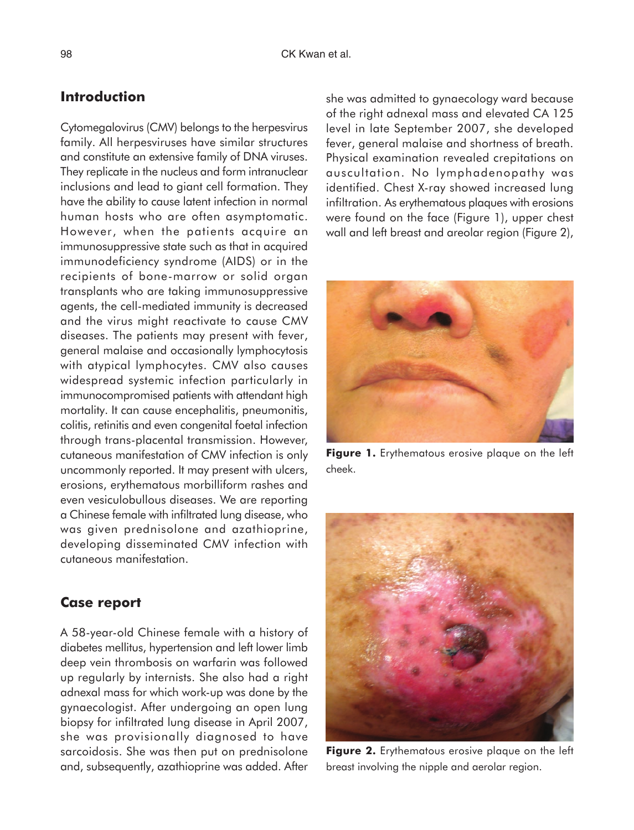## **Introduction**

Cytomegalovirus (CMV) belongs to the herpesvirus family. All herpesviruses have similar structures and constitute an extensive family of DNA viruses. They replicate in the nucleus and form intranuclear inclusions and lead to giant cell formation. They have the ability to cause latent infection in normal human hosts who are often asymptomatic. However, when the patients acquire an immunosuppressive state such as that in acquired immunodeficiency syndrome (AIDS) or in the recipients of bone-marrow or solid organ transplants who are taking immunosuppressive agents, the cell-mediated immunity is decreased and the virus might reactivate to cause CMV diseases. The patients may present with fever, general malaise and occasionally lymphocytosis with atypical lymphocytes. CMV also causes widespread systemic infection particularly in immunocompromised patients with attendant high mortality. It can cause encephalitis, pneumonitis, colitis, retinitis and even congenital foetal infection through trans-placental transmission. However, cutaneous manifestation of CMV infection is only uncommonly reported. It may present with ulcers, erosions, erythematous morbilliform rashes and even vesiculobullous diseases. We are reporting a Chinese female with infiltrated lung disease, who was given prednisolone and azathioprine, developing disseminated CMV infection with cutaneous manifestation.

#### **Case report**

A 58-year-old Chinese female with a history of diabetes mellitus, hypertension and left lower limb deep vein thrombosis on warfarin was followed up regularly by internists. She also had a right adnexal mass for which work-up was done by the gynaecologist. After undergoing an open lung biopsy for infiltrated lung disease in April 2007, she was provisionally diagnosed to have sarcoidosis. She was then put on prednisolone and, subsequently, azathioprine was added. After

she was admitted to gynaecology ward because of the right adnexal mass and elevated CA 125 level in late September 2007, she developed fever, general malaise and shortness of breath. Physical examination revealed crepitations on auscultation. No lymphadenopathy was identified. Chest X-ray showed increased lung infiltration. As erythematous plaques with erosions were found on the face (Figure 1), upper chest wall and left breast and areolar region (Figure 2),



**Figure 1.** Erythematous erosive plaque on the left cheek.



**Figure 2.** Erythematous erosive plaque on the left breast involving the nipple and aerolar region.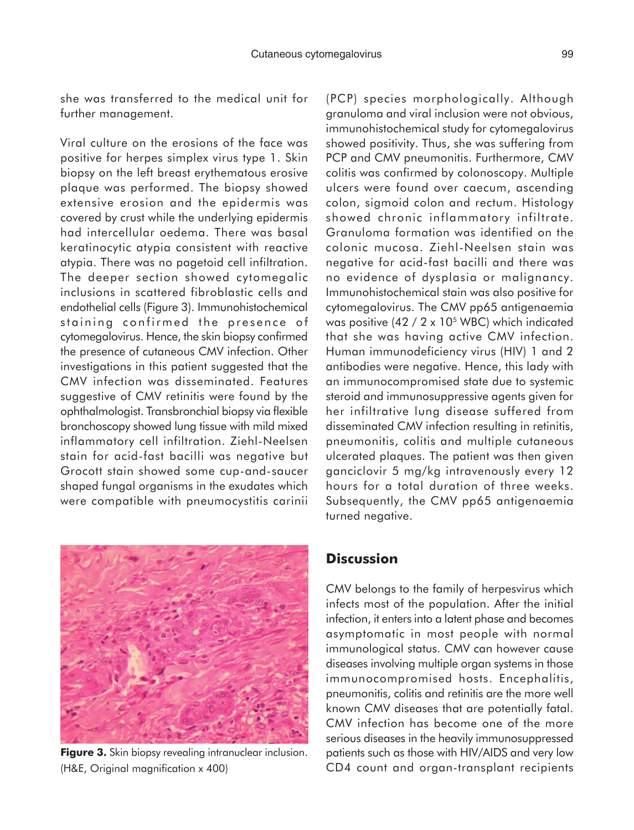she was transferred to the medical unit for further management.

Viral culture on the erosions of the face was positive for herpes simplex virus type 1. Skin biopsy on the left breast erythematous erosive plaque was performed. The biopsy showed extensive erosion and the epidermis was covered by crust while the underlying epidermis had intercellular oedema. There was basal keratinocytic atypia consistent with reactive atypia. There was no pagetoid cell infiltration. The deeper section showed cytomegalic inclusions in scattered fibroblastic cells and endothelial cells (Figure 3). Immunohistochemical staining confirmed the presence of cytomegalovirus. Hence, the skin biopsy confirmed the presence of cutaneous CMV infection. Other investigations in this patient suggested that the CMV infection was disseminated. Features suggestive of CMV retinitis were found by the ophthalmologist. Transbronchial biopsy via flexible bronchoscopy showed lung tissue with mild mixed inflammatory cell infiltration. Ziehl-Neelsen stain for acid-fast bacilli was negative but Grocott stain showed some cup-and-saucer shaped fungal organisms in the exudates which were compatible with pneumocystitis carinii



**Figure 3.** Skin biopsy revealing intranuclear inclusion. (H&E, Original magnification x 400)

(PCP) species morphologically. Although granuloma and viral inclusion were not obvious, immunohistochemical study for cytomegalovirus showed positivity. Thus, she was suffering from PCP and CMV pneumonitis. Furthermore, CMV colitis was confirmed by colonoscopy. Multiple ulcers were found over caecum, ascending colon, sigmoid colon and rectum. Histology showed chronic inflammatory infiltrate. Granuloma formation was identified on the colonic mucosa. Ziehl-Neelsen stain was negative for acid-fast bacilli and there was no evidence of dysplasia or malignancy. Immunohistochemical stain was also positive for cytomegalovirus. The CMV pp65 antigenaemia was positive  $(42 / 2 \times 10^5 \text{ WBC})$  which indicated that she was having active CMV infection. Human immunodeficiency virus (HIV) 1 and 2 antibodies were negative. Hence, this lady with an immunocompromised state due to systemic steroid and immunosuppressive agents given for her infiltrative lung disease suffered from disseminated CMV infection resulting in retinitis, pneumonitis, colitis and multiple cutaneous ulcerated plaques. The patient was then given ganciclovir 5 mg/kg intravenously every 12 hours for a total duration of three weeks. Subsequently, the CMV pp65 antigenaemia turned negative.

### **Discussion**

CMV belongs to the family of herpesvirus which infects most of the population. After the initial infection, it enters into a latent phase and becomes asymptomatic in most people with normal immunological status. CMV can however cause diseases involving multiple organ systems in those immunocompromised hosts. Encephalitis, pneumonitis, colitis and retinitis are the more well known CMV diseases that are potentially fatal. CMV infection has become one of the more serious diseases in the heavily immunosuppressed patients such as those with HIV/AIDS and very low CD4 count and organ-transplant recipients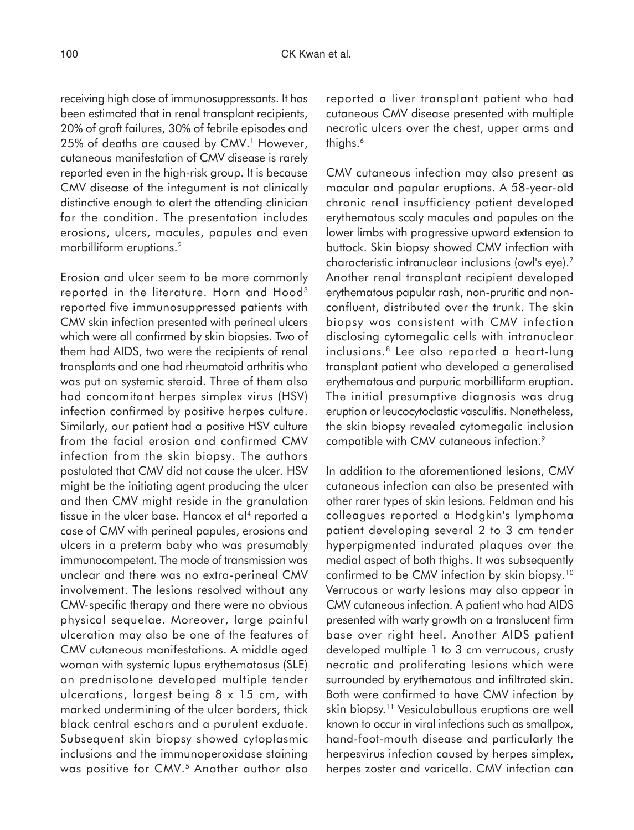receiving high dose of immunosuppressants. It has been estimated that in renal transplant recipients, 20% of graft failures, 30% of febrile episodes and 25% of deaths are caused by CMV.<sup>1</sup> However, cutaneous manifestation of CMV disease is rarely reported even in the high-risk group. It is because CMV disease of the integument is not clinically distinctive enough to alert the attending clinician for the condition. The presentation includes erosions, ulcers, macules, papules and even morbilliform eruptions.2

Erosion and ulcer seem to be more commonly reported in the literature. Horn and Hood<sup>3</sup> reported five immunosuppressed patients with CMV skin infection presented with perineal ulcers which were all confirmed by skin biopsies. Two of them had AIDS, two were the recipients of renal transplants and one had rheumatoid arthritis who was put on systemic steroid. Three of them also had concomitant herpes simplex virus (HSV) infection confirmed by positive herpes culture. Similarly, our patient had a positive HSV culture from the facial erosion and confirmed CMV infection from the skin biopsy. The authors postulated that CMV did not cause the ulcer. HSV might be the initiating agent producing the ulcer and then CMV might reside in the granulation tissue in the ulcer base. Hancox et al<sup>4</sup> reported a case of CMV with perineal papules, erosions and ulcers in a preterm baby who was presumably immunocompetent. The mode of transmission was unclear and there was no extra-perineal CMV involvement. The lesions resolved without any CMV-specific therapy and there were no obvious physical sequelae. Moreover, large painful ulceration may also be one of the features of CMV cutaneous manifestations. A middle aged woman with systemic lupus erythematosus (SLE) on prednisolone developed multiple tender ulcerations, largest being 8 x 15 cm, with marked undermining of the ulcer borders, thick black central eschars and a purulent exduate. Subsequent skin biopsy showed cytoplasmic inclusions and the immunoperoxidase staining was positive for CMV.<sup>5</sup> Another author also

reported a liver transplant patient who had cutaneous CMV disease presented with multiple necrotic ulcers over the chest, upper arms and thighs.<sup>6</sup>

CMV cutaneous infection may also present as macular and papular eruptions. A 58-year-old chronic renal insufficiency patient developed erythematous scaly macules and papules on the lower limbs with progressive upward extension to buttock. Skin biopsy showed CMV infection with characteristic intranuclear inclusions (owl's eye).7 Another renal transplant recipient developed erythematous papular rash, non-pruritic and nonconfluent, distributed over the trunk. The skin biopsy was consistent with CMV infection disclosing cytomegalic cells with intranuclear inclusions.8 Lee also reported a heart-lung transplant patient who developed a generalised erythematous and purpuric morbilliform eruption. The initial presumptive diagnosis was drug eruption or leucocytoclastic vasculitis. Nonetheless, the skin biopsy revealed cytomegalic inclusion compatible with CMV cutaneous infection.9

In addition to the aforementioned lesions, CMV cutaneous infection can also be presented with other rarer types of skin lesions. Feldman and his colleagues reported a Hodgkin's lymphoma patient developing several 2 to 3 cm tender hyperpigmented indurated plaques over the medial aspect of both thighs. It was subsequently confirmed to be CMV infection by skin biopsy.10 Verrucous or warty lesions may also appear in CMV cutaneous infection. A patient who had AIDS presented with warty growth on a translucent firm base over right heel. Another AIDS patient developed multiple 1 to 3 cm verrucous, crusty necrotic and proliferating lesions which were surrounded by erythematous and infiltrated skin. Both were confirmed to have CMV infection by skin biopsy.<sup>11</sup> Vesiculobullous eruptions are well known to occur in viral infections such as smallpox, hand-foot-mouth disease and particularly the herpesvirus infection caused by herpes simplex, herpes zoster and varicella. CMV infection can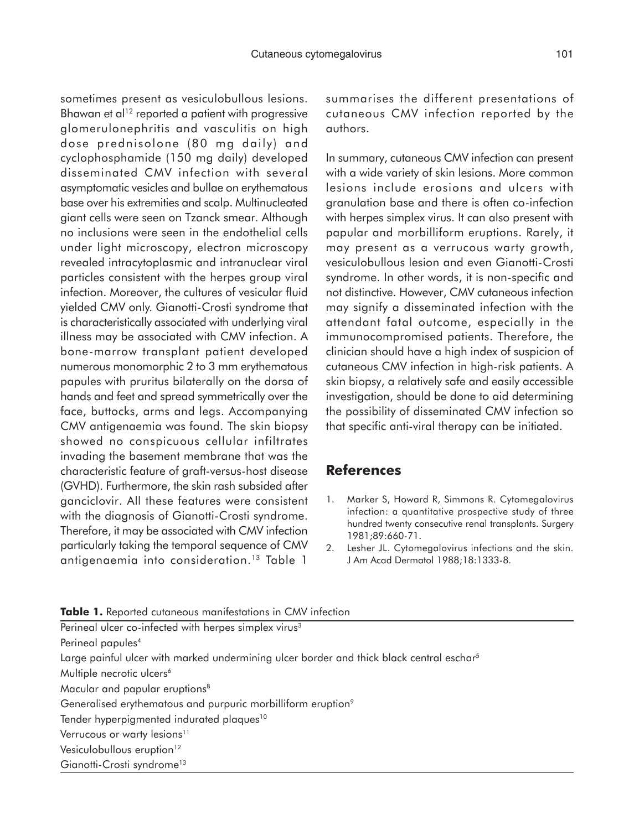sometimes present as vesiculobullous lesions. Bhawan et al<sup>12</sup> reported a patient with progressive glomerulonephritis and vasculitis on high dose prednisolone (80 mg daily) and cyclophosphamide (150 mg daily) developed disseminated CMV infection with several asymptomatic vesicles and bullae on erythematous base over his extremities and scalp. Multinucleated giant cells were seen on Tzanck smear. Although no inclusions were seen in the endothelial cells under light microscopy, electron microscopy revealed intracytoplasmic and intranuclear viral particles consistent with the herpes group viral infection. Moreover, the cultures of vesicular fluid yielded CMV only. Gianotti-Crosti syndrome that is characteristically associated with underlying viral illness may be associated with CMV infection. A bone-marrow transplant patient developed numerous monomorphic 2 to 3 mm erythematous papules with pruritus bilaterally on the dorsa of hands and feet and spread symmetrically over the face, buttocks, arms and legs. Accompanying CMV antigenaemia was found. The skin biopsy showed no conspicuous cellular infiltrates invading the basement membrane that was the characteristic feature of graft-versus-host disease (GVHD). Furthermore, the skin rash subsided after ganciclovir. All these features were consistent with the diagnosis of Gianotti-Crosti syndrome. Therefore, it may be associated with CMV infection particularly taking the temporal sequence of CMV antigenaemia into consideration.13 Table 1

summarises the different presentations of cutaneous CMV infection reported by the authors.

In summary, cutaneous CMV infection can present with a wide variety of skin lesions. More common lesions include erosions and ulcers with granulation base and there is often co-infection with herpes simplex virus. It can also present with papular and morbilliform eruptions. Rarely, it may present as a verrucous warty growth, vesiculobullous lesion and even Gianotti-Crosti syndrome. In other words, it is non-specific and not distinctive. However, CMV cutaneous infection may signify a disseminated infection with the attendant fatal outcome, especially in the immunocompromised patients. Therefore, the clinician should have a high index of suspicion of cutaneous CMV infection in high-risk patients. A skin biopsy, a relatively safe and easily accessible investigation, should be done to aid determining the possibility of disseminated CMV infection so that specific anti-viral therapy can be initiated.

#### **References**

- 1. Marker S, Howard R, Simmons R. Cytomegalovirus infection: a quantitative prospective study of three hundred twenty consecutive renal transplants. Surgery 1981;89:660-71.
- 2. Lesher JL. Cytomegalovirus infections and the skin. J Am Acad Dermatol 1988;18:1333-8.

| Table 1. Reported cutaneous manifestations in CMV infection                                          |  |
|------------------------------------------------------------------------------------------------------|--|
| Perineal ulcer co-infected with herpes simplex virus <sup>3</sup>                                    |  |
| Perineal papules <sup>4</sup>                                                                        |  |
| Large painful ulcer with marked undermining ulcer border and thick black central eschar <sup>5</sup> |  |
| Multiple necrotic ulcers <sup>6</sup>                                                                |  |
| Macular and papular eruptions <sup>8</sup>                                                           |  |
| Generalised erythematous and purpuric morbilliform eruption <sup>9</sup>                             |  |
| Tender hyperpigmented indurated plaques <sup>10</sup>                                                |  |
| Verrucous or warty lesions <sup>11</sup>                                                             |  |
| Vesiculobullous eruption <sup>12</sup>                                                               |  |
| Gianotti-Crosti syndrome <sup>13</sup>                                                               |  |